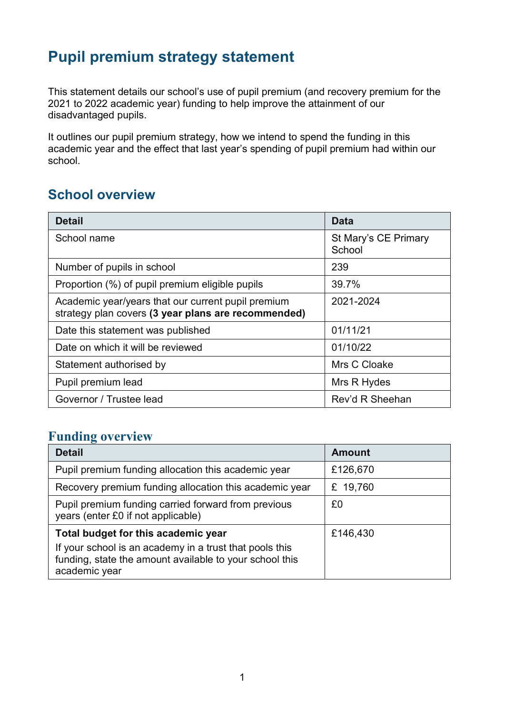# **Pupil premium strategy statement**

This statement details our school's use of pupil premium (and recovery premium for the 2021 to 2022 academic year) funding to help improve the attainment of our disadvantaged pupils.

It outlines our pupil premium strategy, how we intend to spend the funding in this academic year and the effect that last year's spending of pupil premium had within our school.

#### **School overview**

| Detail                                                                                                    | Data                           |
|-----------------------------------------------------------------------------------------------------------|--------------------------------|
| School name                                                                                               | St Mary's CE Primary<br>School |
| Number of pupils in school                                                                                | 239                            |
| Proportion (%) of pupil premium eligible pupils                                                           | 39.7%                          |
| Academic year/years that our current pupil premium<br>strategy plan covers (3 year plans are recommended) | 2021-2024                      |
| Date this statement was published                                                                         | 01/11/21                       |
| Date on which it will be reviewed                                                                         | 01/10/22                       |
| Statement authorised by                                                                                   | Mrs C Cloake                   |
| Pupil premium lead                                                                                        | Mrs R Hydes                    |
| Governor / Trustee lead                                                                                   | Rev'd R Sheehan                |

#### **Funding overview**

| <b>Detail</b>                                                                                                                                                              | Amount   |
|----------------------------------------------------------------------------------------------------------------------------------------------------------------------------|----------|
| Pupil premium funding allocation this academic year                                                                                                                        | £126,670 |
| Recovery premium funding allocation this academic year                                                                                                                     | £ 19,760 |
| Pupil premium funding carried forward from previous<br>years (enter £0 if not applicable)                                                                                  | £0       |
| Total budget for this academic year<br>If your school is an academy in a trust that pools this<br>funding, state the amount available to your school this<br>academic year | £146,430 |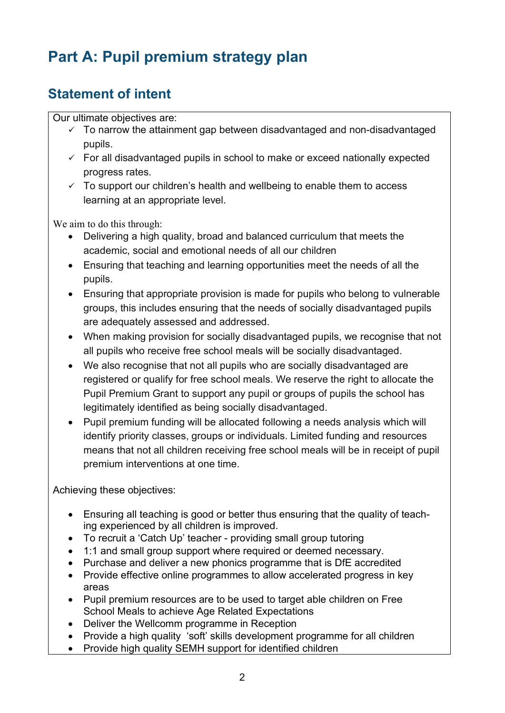# **Part A: Pupil premium strategy plan**

## **Statement of intent**

Our ultimate objectives are:

- $\checkmark$  To narrow the attainment gap between disadvantaged and non-disadvantaged pupils.
- $\checkmark$  For all disadvantaged pupils in school to make or exceed nationally expected progress rates.
- $\checkmark$  To support our children's health and wellbeing to enable them to access learning at an appropriate level.

We aim to do this through:

- Delivering a high quality, broad and balanced curriculum that meets the academic, social and emotional needs of all our children
- Ensuring that teaching and learning opportunities meet the needs of all the pupils.
- Ensuring that appropriate provision is made for pupils who belong to vulnerable groups, this includes ensuring that the needs of socially disadvantaged pupils are adequately assessed and addressed.
- When making provision for socially disadvantaged pupils, we recognise that not all pupils who receive free school meals will be socially disadvantaged.
- We also recognise that not all pupils who are socially disadvantaged are registered or qualify for free school meals. We reserve the right to allocate the Pupil Premium Grant to support any pupil or groups of pupils the school has legitimately identified as being socially disadvantaged.
- Pupil premium funding will be allocated following a needs analysis which will identify priority classes, groups or individuals. Limited funding and resources means that not all children receiving free school meals will be in receipt of pupil premium interventions at one time.

Achieving these objectives:

- Ensuring all teaching is good or better thus ensuring that the quality of teaching experienced by all children is improved.
- To recruit a 'Catch Up' teacher providing small group tutoring
- 1:1 and small group support where required or deemed necessary.
- Purchase and deliver a new phonics programme that is DfE accredited
- Provide effective online programmes to allow accelerated progress in key areas
- Pupil premium resources are to be used to target able children on Free School Meals to achieve Age Related Expectations
- Deliver the Wellcomm programme in Reception
- Provide a high quality 'soft' skills development programme for all children
- Provide high quality SEMH support for identified children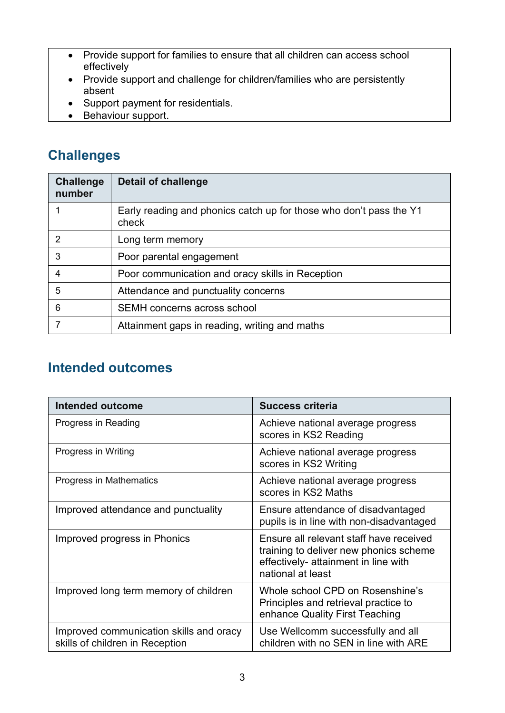- Provide support for families to ensure that all children can access school effectively
- Provide support and challenge for children/families who are persistently absent
- Support payment for residentials.
- Behaviour support.

### **Challenges**

| <b>Challenge</b><br>number | <b>Detail of challenge</b>                                                  |
|----------------------------|-----------------------------------------------------------------------------|
|                            | Early reading and phonics catch up for those who don't pass the Y1<br>check |
|                            | Long term memory                                                            |
| 3                          | Poor parental engagement                                                    |
| 4                          | Poor communication and oracy skills in Reception                            |
| 5                          | Attendance and punctuality concerns                                         |
| 6                          | <b>SEMH</b> concerns across school                                          |
|                            | Attainment gaps in reading, writing and maths                               |

### **Intended outcomes**

| <b>Intended outcome</b>                                                    | <b>Success criteria</b>                                                                                                                        |
|----------------------------------------------------------------------------|------------------------------------------------------------------------------------------------------------------------------------------------|
| Progress in Reading                                                        | Achieve national average progress<br>scores in KS2 Reading                                                                                     |
| Progress in Writing                                                        | Achieve national average progress<br>scores in KS2 Writing                                                                                     |
| Progress in Mathematics                                                    | Achieve national average progress<br>scores in KS2 Maths                                                                                       |
| Improved attendance and punctuality                                        | Ensure attendance of disadvantaged<br>pupils is in line with non-disadvantaged                                                                 |
| Improved progress in Phonics                                               | Ensure all relevant staff have received<br>training to deliver new phonics scheme<br>effectively- attainment in line with<br>national at least |
| Improved long term memory of children                                      | Whole school CPD on Rosenshine's<br>Principles and retrieval practice to<br>enhance Quality First Teaching                                     |
| Improved communication skills and oracy<br>skills of children in Reception | Use Wellcomm successfully and all<br>children with no SEN in line with ARE                                                                     |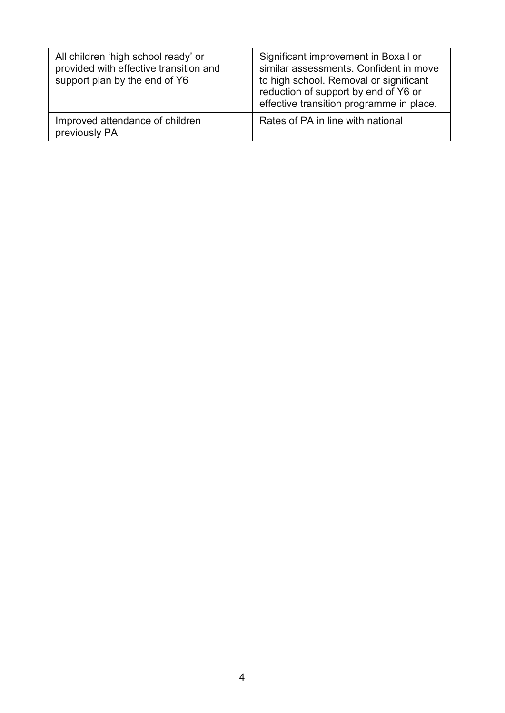| All children 'high school ready' or<br>provided with effective transition and<br>support plan by the end of Y6 | Significant improvement in Boxall or<br>similar assessments. Confident in move<br>to high school. Removal or significant<br>reduction of support by end of Y6 or<br>effective transition programme in place. |
|----------------------------------------------------------------------------------------------------------------|--------------------------------------------------------------------------------------------------------------------------------------------------------------------------------------------------------------|
| Improved attendance of children<br>previously PA                                                               | Rates of PA in line with national                                                                                                                                                                            |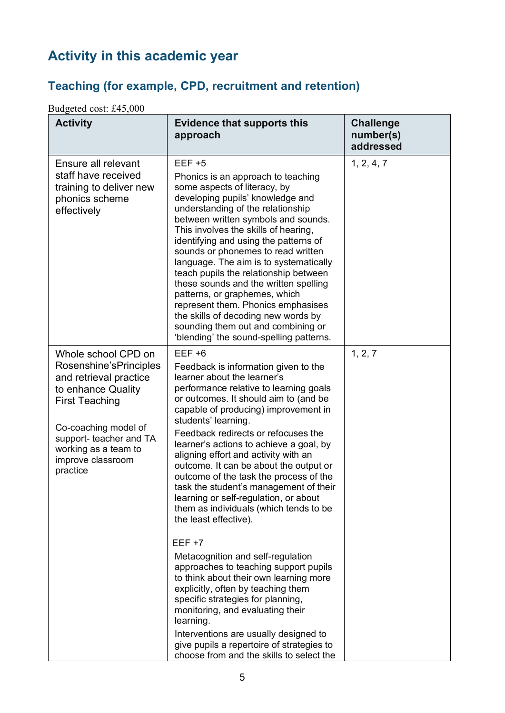# **Activity in this academic year**

### **Teaching (for example, CPD, recruitment and retention)**

Budgeted cost: £45,000

| <b>Activity</b>                                                                                                                                                                                                                    | <b>Evidence that supports this</b><br>approach                                                                                                                                                                                                                                                                                                                                                                                                                                                                                                                                                                                                                                                                                                                                                                       | <b>Challenge</b><br>number(s)<br>addressed |
|------------------------------------------------------------------------------------------------------------------------------------------------------------------------------------------------------------------------------------|----------------------------------------------------------------------------------------------------------------------------------------------------------------------------------------------------------------------------------------------------------------------------------------------------------------------------------------------------------------------------------------------------------------------------------------------------------------------------------------------------------------------------------------------------------------------------------------------------------------------------------------------------------------------------------------------------------------------------------------------------------------------------------------------------------------------|--------------------------------------------|
| Ensure all relevant<br>staff have received<br>training to deliver new<br>phonics scheme<br>effectively                                                                                                                             | $EEF + 5$<br>Phonics is an approach to teaching<br>some aspects of literacy, by<br>developing pupils' knowledge and<br>understanding of the relationship<br>between written symbols and sounds.<br>This involves the skills of hearing,<br>identifying and using the patterns of<br>sounds or phonemes to read written<br>language. The aim is to systematically<br>teach pupils the relationship between<br>these sounds and the written spelling<br>patterns, or graphemes, which<br>represent them. Phonics emphasises<br>the skills of decoding new words by<br>sounding them out and combining or<br>'blending' the sound-spelling patterns.                                                                                                                                                                    | 1, 2, 4, 7                                 |
| Whole school CPD on<br>Rosenshine'sPrinciples<br>and retrieval practice<br>to enhance Quality<br><b>First Teaching</b><br>Co-coaching model of<br>support- teacher and TA<br>working as a team to<br>improve classroom<br>practice | $EEF +6$<br>Feedback is information given to the<br>learner about the learner's<br>performance relative to learning goals<br>or outcomes. It should aim to (and be<br>capable of producing) improvement in<br>students' learning.<br>Feedback redirects or refocuses the<br>learner's actions to achieve a goal, by<br>aligning effort and activity with an<br>outcome. It can be about the output or<br>outcome of the task the process of the<br>task the student's management of their<br>learning or self-regulation, or about<br>them as individuals (which tends to be<br>the least effective).<br>$EEF +7$<br>Metacognition and self-regulation<br>approaches to teaching support pupils<br>to think about their own learning more<br>explicitly, often by teaching them<br>specific strategies for planning, | 1, 2, 7                                    |
|                                                                                                                                                                                                                                    | monitoring, and evaluating their<br>learning.<br>Interventions are usually designed to<br>give pupils a repertoire of strategies to<br>choose from and the skills to select the                                                                                                                                                                                                                                                                                                                                                                                                                                                                                                                                                                                                                                      |                                            |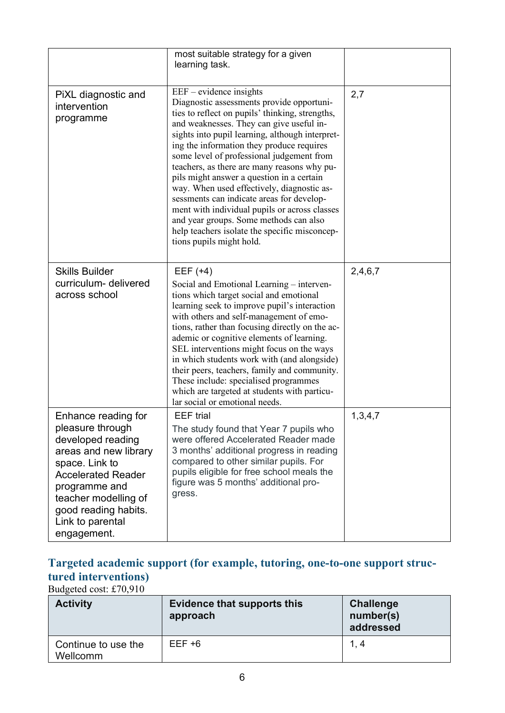|                                                                                                                                                                                                                                          | most suitable strategy for a given<br>learning task.                                                                                                                                                                                                                                                                                                                                                                                                                                                                                                                                                                                                                              |         |
|------------------------------------------------------------------------------------------------------------------------------------------------------------------------------------------------------------------------------------------|-----------------------------------------------------------------------------------------------------------------------------------------------------------------------------------------------------------------------------------------------------------------------------------------------------------------------------------------------------------------------------------------------------------------------------------------------------------------------------------------------------------------------------------------------------------------------------------------------------------------------------------------------------------------------------------|---------|
| PiXL diagnostic and<br>intervention<br>programme                                                                                                                                                                                         | $EEF$ – evidence insights<br>Diagnostic assessments provide opportuni-<br>ties to reflect on pupils' thinking, strengths,<br>and weaknesses. They can give useful in-<br>sights into pupil learning, although interpret-<br>ing the information they produce requires<br>some level of professional judgement from<br>teachers, as there are many reasons why pu-<br>pils might answer a question in a certain<br>way. When used effectively, diagnostic as-<br>sessments can indicate areas for develop-<br>ment with individual pupils or across classes<br>and year groups. Some methods can also<br>help teachers isolate the specific misconcep-<br>tions pupils might hold. | 2,7     |
| <b>Skills Builder</b><br>curriculum- delivered<br>across school                                                                                                                                                                          | $EEF (+4)$<br>Social and Emotional Learning – interven-<br>tions which target social and emotional<br>learning seek to improve pupil's interaction<br>with others and self-management of emo-<br>tions, rather than focusing directly on the ac-<br>ademic or cognitive elements of learning.<br>SEL interventions might focus on the ways<br>in which students work with (and alongside)<br>their peers, teachers, family and community.<br>These include: specialised programmes<br>which are targeted at students with particu-<br>lar social or emotional needs.                                                                                                              | 2,4,6,7 |
| Enhance reading for<br>pleasure through<br>developed reading<br>areas and new library<br>space. Link to<br><b>Accelerated Reader</b><br>programme and<br>teacher modelling of<br>good reading habits.<br>Link to parental<br>engagement. | <b>EEF</b> trial<br>The study found that Year 7 pupils who<br>were offered Accelerated Reader made<br>3 months' additional progress in reading<br>compared to other similar pupils. For<br>pupils eligible for free school meals the<br>figure was 5 months' additional pro-<br>gress.                                                                                                                                                                                                                                                                                                                                                                                            | 1,3,4,7 |

#### **Targeted academic support (for example, tutoring, one-to-one support structured interventions)**

Budgeted cost: £70,910

| <b>Activity</b>                 | <b>Evidence that supports this</b><br>approach | Challenge<br>number(s)<br>addressed |
|---------------------------------|------------------------------------------------|-------------------------------------|
| Continue to use the<br>Wellcomm | $EEF + 6$                                      | 1, 4                                |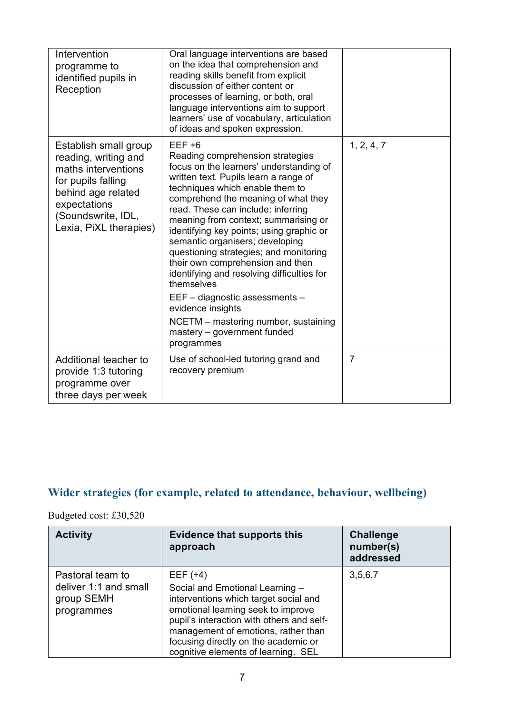| Intervention<br>programme to<br>identified pupils in<br>Reception                                                                                                                | Oral language interventions are based<br>on the idea that comprehension and<br>reading skills benefit from explicit<br>discussion of either content or<br>processes of learning, or both, oral<br>language interventions aim to support<br>learners' use of vocabulary, articulation<br>of ideas and spoken expression.                                                                                                                                                                                                                                                                                                                                       |                |
|----------------------------------------------------------------------------------------------------------------------------------------------------------------------------------|---------------------------------------------------------------------------------------------------------------------------------------------------------------------------------------------------------------------------------------------------------------------------------------------------------------------------------------------------------------------------------------------------------------------------------------------------------------------------------------------------------------------------------------------------------------------------------------------------------------------------------------------------------------|----------------|
| Establish small group<br>reading, writing and<br>maths interventions<br>for pupils falling<br>behind age related<br>expectations<br>(Soundswrite, IDL,<br>Lexia, PiXL therapies) | $EEF +6$<br>Reading comprehension strategies<br>focus on the learners' understanding of<br>written text. Pupils learn a range of<br>techniques which enable them to<br>comprehend the meaning of what they<br>read. These can include: inferring<br>meaning from context; summarising or<br>identifying key points; using graphic or<br>semantic organisers; developing<br>questioning strategies; and monitoring<br>their own comprehension and then<br>identifying and resolving difficulties for<br>themselves<br>EEF - diagnostic assessments -<br>evidence insights<br>NCETM - mastering number, sustaining<br>mastery – government funded<br>programmes | 1, 2, 4, 7     |
| Additional teacher to<br>provide 1:3 tutoring<br>programme over<br>three days per week                                                                                           | Use of school-led tutoring grand and<br>recovery premium                                                                                                                                                                                                                                                                                                                                                                                                                                                                                                                                                                                                      | $\overline{7}$ |

### **Wider strategies (for example, related to attendance, behaviour, wellbeing)**

Budgeted cost: £30,520

| <b>Activity</b>                                                       | <b>Evidence that supports this</b><br>approach                                                                                                                                                                                                                                                  | <b>Challenge</b><br>number(s)<br>addressed |
|-----------------------------------------------------------------------|-------------------------------------------------------------------------------------------------------------------------------------------------------------------------------------------------------------------------------------------------------------------------------------------------|--------------------------------------------|
| Pastoral team to<br>deliver 1:1 and small<br>group SEMH<br>programmes | EEF $(+4)$<br>Social and Emotional Learning -<br>interventions which target social and<br>emotional learning seek to improve<br>pupil's interaction with others and self-<br>management of emotions, rather than<br>focusing directly on the academic or<br>cognitive elements of learning. SEL | 3,5,6,7                                    |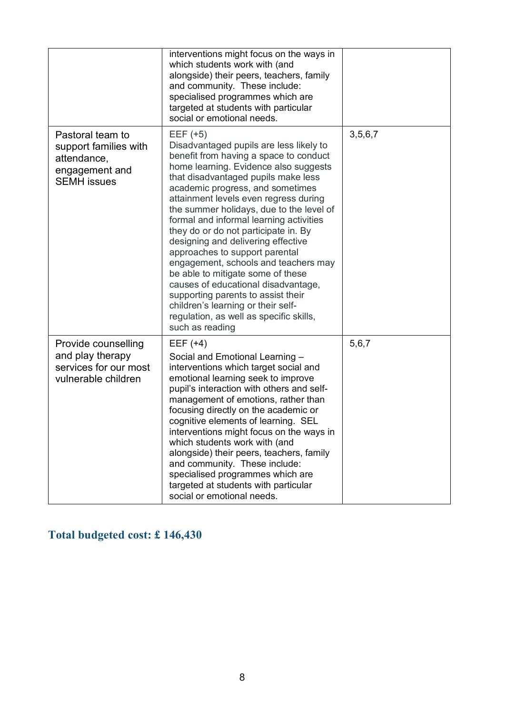|                                                                                                  | interventions might focus on the ways in                                                                                                                                                                                                                                                                                                                                                                                                                                                                                                                                                                                                                                                                                          |         |
|--------------------------------------------------------------------------------------------------|-----------------------------------------------------------------------------------------------------------------------------------------------------------------------------------------------------------------------------------------------------------------------------------------------------------------------------------------------------------------------------------------------------------------------------------------------------------------------------------------------------------------------------------------------------------------------------------------------------------------------------------------------------------------------------------------------------------------------------------|---------|
|                                                                                                  | which students work with (and<br>alongside) their peers, teachers, family<br>and community. These include:<br>specialised programmes which are<br>targeted at students with particular<br>social or emotional needs.                                                                                                                                                                                                                                                                                                                                                                                                                                                                                                              |         |
| Pastoral team to<br>support families with<br>attendance,<br>engagement and<br><b>SEMH</b> issues | $EEF (+5)$<br>Disadvantaged pupils are less likely to<br>benefit from having a space to conduct<br>home learning. Evidence also suggests<br>that disadvantaged pupils make less<br>academic progress, and sometimes<br>attainment levels even regress during<br>the summer holidays, due to the level of<br>formal and informal learning activities<br>they do or do not participate in. By<br>designing and delivering effective<br>approaches to support parental<br>engagement, schools and teachers may<br>be able to mitigate some of these<br>causes of educational disadvantage,<br>supporting parents to assist their<br>children's learning or their self-<br>regulation, as well as specific skills,<br>such as reading | 3,5,6,7 |
| Provide counselling<br>and play therapy<br>services for our most<br>vulnerable children          | EEF $(+4)$<br>Social and Emotional Learning -<br>interventions which target social and<br>emotional learning seek to improve<br>pupil's interaction with others and self-<br>management of emotions, rather than<br>focusing directly on the academic or<br>cognitive elements of learning. SEL<br>interventions might focus on the ways in<br>which students work with (and<br>alongside) their peers, teachers, family<br>and community. These include:<br>specialised programmes which are<br>targeted at students with particular<br>social or emotional needs.                                                                                                                                                               | 5,6,7   |

### **Total budgeted cost: £ 146,430**